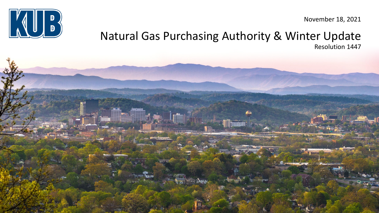

November 18, 2021

#### Natural Gas Purchasing Authority & Winter Update Resolution 1447

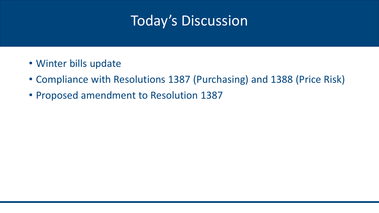# Today's Discussion

- Winter bills update
- Compliance with Resolutions 1387 (Purchasing) and 1388 (Price Risk)
- Proposed amendment to Resolution 1387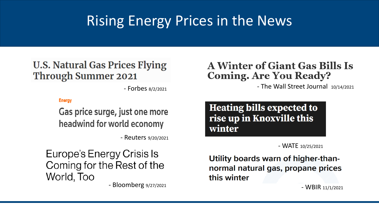# Rising Energy Prices in the News

#### **U.S. Natural Gas Prices Flying Through Summer 2021**

- Forbes 8/2/2021

#### **Energy**

Gas price surge, just one more headwind for world economy

- Reuters 9/20/2021

### Europe's Energy Crisis Is Coming for the Rest of the World, Too

- Bloomberg 9/27/2021

#### **A Winter of Giant Gas Bills Is Coming. Are You Ready?**

- The Wall Street Journal 10/14/2021

**Heating bills expected to** rise up in Knoxville this winter

- WATE 10/25/2021

Utility boards warn of higher-thannormal natural gas, propane prices this winter

- WBIR 11/1/2021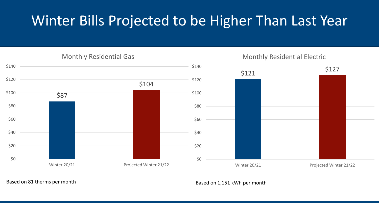# Winter Bills Projected to be Higher Than Last Year

Monthly Residential Gas

Monthly Residential Electric



Based on 81 therms per month based on 1,151 kWh per month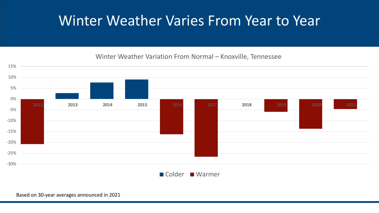## Winter Weather Varies From Year to Year

#### Winter Weather Variation From Normal – Knoxville, Tennessee

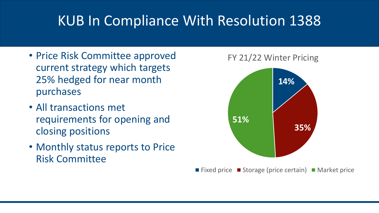# KUB In Compliance With Resolution 1388

- Price Risk Committee approved current strategy which targets 25% hedged for near month purchases
- All transactions met requirements for opening and closing positions
- Monthly status reports to Price Risk Committee



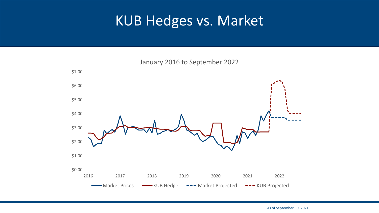## KUB Hedges vs. Market

January 2016 to September 2022

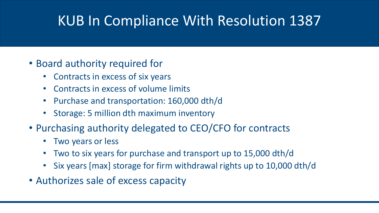# KUB In Compliance With Resolution 1387

- Board authority required for
	- Contracts in excess of six years
	- Contracts in excess of volume limits
	- Purchase and transportation: 160,000 dth/d
	- Storage: 5 million dth maximum inventory
- Purchasing authority delegated to CEO/CFO for contracts
	- Two years or less
	- Two to six years for purchase and transport up to 15,000 dth/d
	- Six years [max] storage for firm withdrawal rights up to 10,000 dth/d
- Authorizes sale of excess capacity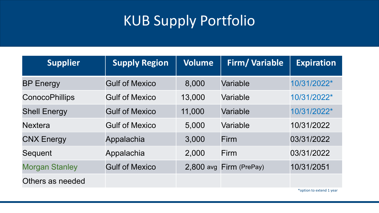# KUB Supply Portfolio

| <b>Supplier</b>       | <b>Supply Region</b>  | <b>Volume</b> | <b>Firm/Variable</b> | <b>Expiration</b> |
|-----------------------|-----------------------|---------------|----------------------|-------------------|
| <b>BP Energy</b>      | <b>Gulf of Mexico</b> | 8,000         | Variable             | 10/31/2022*       |
| <b>ConocoPhillips</b> | <b>Gulf of Mexico</b> | 13,000        | Variable             | 10/31/2022*       |
| <b>Shell Energy</b>   | <b>Gulf of Mexico</b> | 11,000        | Variable             | 10/31/2022*       |
| <b>Nextera</b>        | <b>Gulf of Mexico</b> | 5,000         | Variable             | 10/31/2022        |
| <b>CNX Energy</b>     | Appalachia            | 3,000         | Firm                 | 03/31/2022        |
| Sequent               | Appalachia            | 2,000         | Firm                 | 03/31/2022        |
| <b>Morgan Stanley</b> | <b>Gulf of Mexico</b> | 2,800 avg     | Firm (PrePay)        | 10/31/2051        |
| Others as needed      |                       |               |                      |                   |

\*option to extend 1 year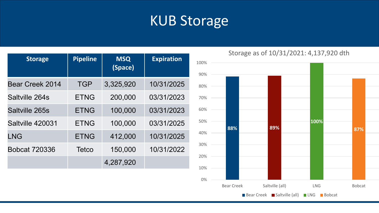## KUB Storage

| <b>Storage</b>         | <b>Pipeline</b> | <b>MSQ</b><br>(Space) | <b>Expiration</b> |
|------------------------|-----------------|-----------------------|-------------------|
| <b>Bear Creek 2014</b> | <b>TGP</b>      | 3,325,920             | 10/31/2025        |
| Saltville 264s         | <b>ETNG</b>     | 200,000               | 03/31/2023        |
| Saltville 265s         | <b>ETNG</b>     | 100,000               | 03/31/2023        |
| Saltville 420031       | <b>ETNG</b>     | 100,000               | 03/31/2025        |
| <b>LNG</b>             | <b>ETNG</b>     | 412,000               | 10/31/2025        |
| <b>Bobcat 720336</b>   | Tetco           | 150,000               | 10/31/2022        |
|                        |                 | 4,287,920             |                   |

Storage as of 10/31/2021: 4,137,920 dth

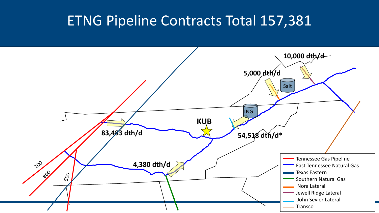## ETNG Pipeline Contracts Total 157,381

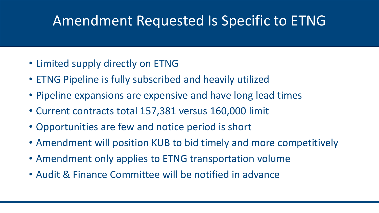# Amendment Requested Is Specific to ETNG

- Limited supply directly on ETNG
- ETNG Pipeline is fully subscribed and heavily utilized
- Pipeline expansions are expensive and have long lead times
- Current contracts total 157,381 versus 160,000 limit
- Opportunities are few and notice period is short
- Amendment will position KUB to bid timely and more competitively
- Amendment only applies to ETNG transportation volume
- Audit & Finance Committee will be notified in advance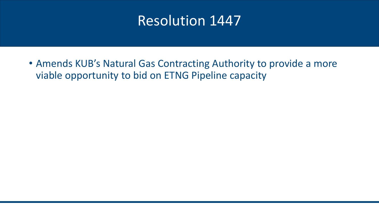## Resolution 1447

• Amends KUB's Natural Gas Contracting Authority to provide a more viable opportunity to bid on ETNG Pipeline capacity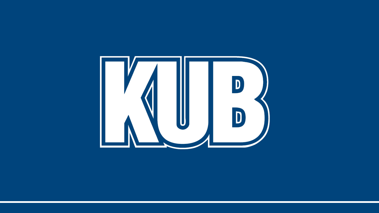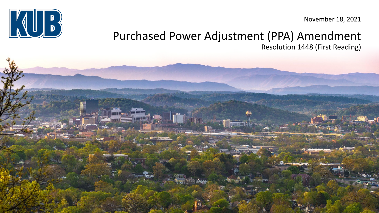

November 18, 2021

#### Purchased Power Adjustment (PPA) Amendment Resolution 1448 (First Reading)

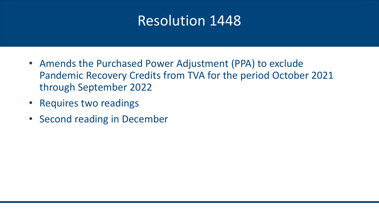## Resolution 1448

- Amends the Purchased Power Adjustment (PPA) to exclude Pandemic Recovery Credits from TVA for the period October 2021 through September 2022
- Requires two readings
- Second reading in December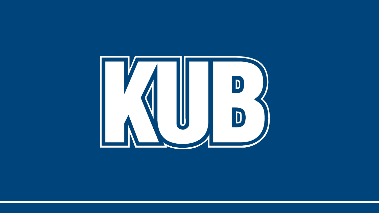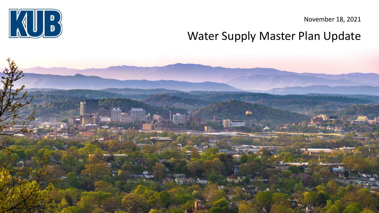November 18, 2021





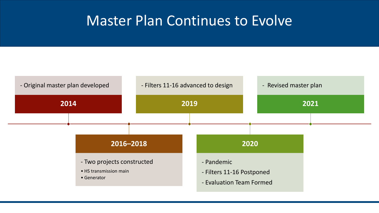## Master Plan Continues to Evolve

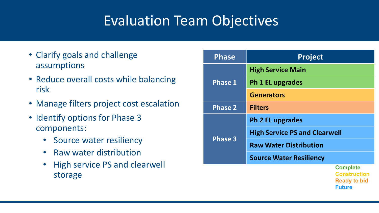# Evaluation Team Objectives

- Clarify goals and challenge assumptions
- Reduce overall costs while balancing risk
- Manage filters project cost escalation
- Identify options for Phase 3 components:
	- Source water resiliency
	- Raw water distribution
	- High service PS and clearwell storage

| <b>Phase</b>   | <b>Project</b>                       |                                                                                |  |
|----------------|--------------------------------------|--------------------------------------------------------------------------------|--|
| <b>Phase 1</b> | <b>High Service Main</b>             |                                                                                |  |
|                | <b>Ph 1 EL upgrades</b>              |                                                                                |  |
|                | <b>Generators</b>                    |                                                                                |  |
| <b>Phase 2</b> | <b>Filters</b>                       |                                                                                |  |
| <b>Phase 3</b> | Ph 2 EL upgrades                     |                                                                                |  |
|                | <b>High Service PS and Clearwell</b> |                                                                                |  |
|                | <b>Raw Water Distribution</b>        |                                                                                |  |
|                | <b>Source Water Resiliency</b>       |                                                                                |  |
|                |                                      | <b>Complete</b><br><b>Construction</b><br><b>Ready to bid</b><br><b>Future</b> |  |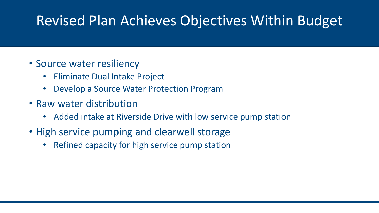# Revised Plan Achieves Objectives Within Budget

#### • Source water resiliency

- Eliminate Dual Intake Project
- Develop a Source Water Protection Program
- Raw water distribution
	- Added intake at Riverside Drive with low service pump station
- High service pumping and clearwell storage
	- Refined capacity for high service pump station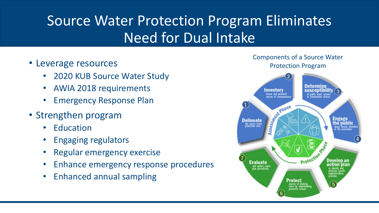# Source Water Protection Program Eliminates Need for Dual Intake

- Leverage resources
	- 2020 KUB Source Water Study
	- AWIA 2018 requirements
	- Emergency Response Plan
- Strengthen program
	- Education
	- Engaging regulators
	- Regular emergency exercise
	- Enhance emergency response procedures
	- Enhanced annual sampling

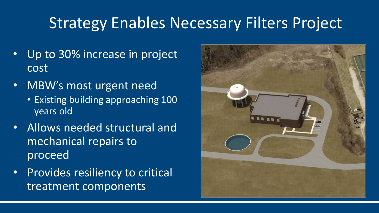# Strategy Enables Necessary Filters Project

- Up to 30% increase in project cost
- MBW's most urgent need
	- Existing building approaching 100 years old
- Allows needed structural and mechanical repairs to proceed
- Provides resiliency to critical treatment components

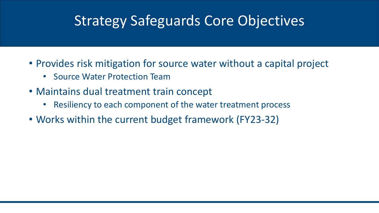# Strategy Safeguards Core Objectives

- Provides risk mitigation for source water without a capital project
	- Source Water Protection Team
- Maintains dual treatment train concept
	- Resiliency to each component of the water treatment process
- Works within the current budget framework (FY23-32)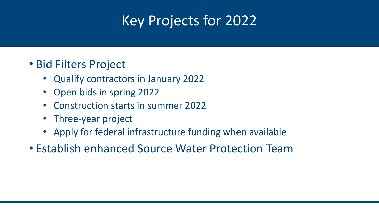# Key Projects for 2022

### • Bid Filters Project

- Qualify contractors in January 2022
- Open bids in spring 2022
- Construction starts in summer 2022
- Three-year project
- Apply for federal infrastructure funding when available
- Establish enhanced Source Water Protection Team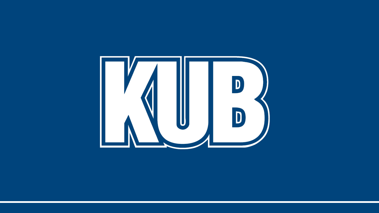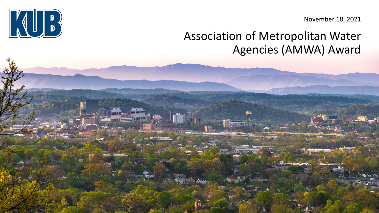November 18, 2021

## Association of Metropolitan Water Agencies (AMWA) Award

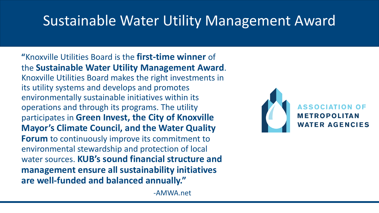# Sustainable Water Utility Management Award

**"**Knoxville Utilities Board is the **first-time winner** of the **Sustainable Water Utility Management Award**. Knoxville Utilities Board makes the right investments in its utility systems and develops and promotes environmentally sustainable initiatives within its operations and through its programs. The utility participates in **Green Invest, the City of Knoxville Mayor's Climate Council, and the Water Quality Forum** to continuously improve its commitment to environmental stewardship and protection of local water sources. **KUB's sound financial structure and management ensure all sustainability initiatives are well-funded and balanced annually."**

**METROPOLITAN WATER AGENCIES** 

-AMWA.net